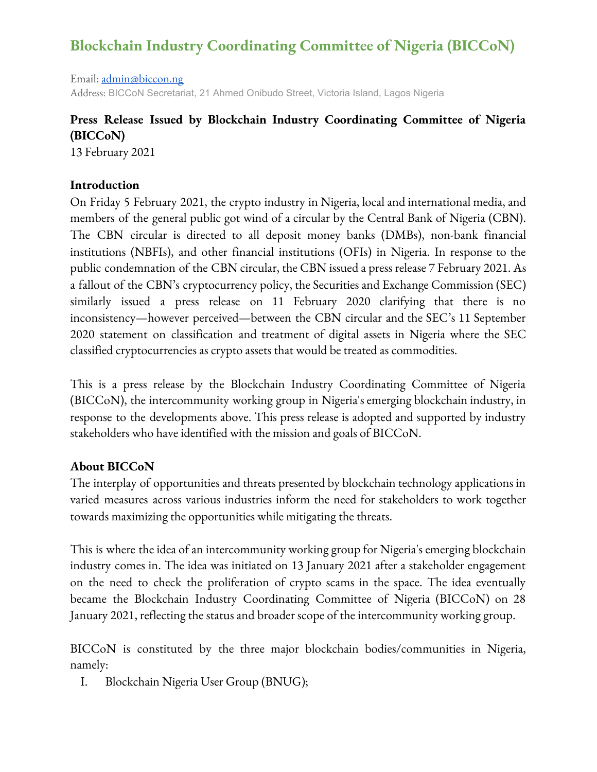# **Blockchain Industry Coordinating Committee of Nigeria (BICCoN)**

Email: [admin@biccon.ng](mailto:admin@biccon.org.ng) Address: BICCoN Secretariat, 21 Ahmed Onibudo Street, Victoria Island, Lagos Nigeria

## **Press Release Issued by Blockchain Industry Coordinating Committee of Nigeria (BICCoN)**

13 February 2021

#### **Introduction**

On Friday 5 February 2021, the crypto industry in Nigeria, local and international media, and members of the general public got wind of a circular by the Central Bank of Nigeria (CBN). The CBN circular is directed to all deposit money banks (DMBs), non-bank financial institutions (NBFIs), and other financial institutions (OFIs) in Nigeria. In response to the public condemnation of the CBN circular, the CBN issued a press release 7 February 2021. As a fallout of the CBN's cryptocurrency policy, the Securitiesand Exchange Commission (SEC) similarly issued a press release on 11 February 2020 clarifying that there is no inconsistency—however perceived—between the CBN circular and the SEC's 11 September 2020 statement on classification and treatment of digital assets in Nigeria where the SEC classified cryptocurrencies as crypto assets that would be treated as commodities.

This is a press release by the Blockchain Industry Coordinating Committee of Nigeria (BICCoN), the intercommunity working group in Nigeria's emerging blockchain industry, in response to the developments above. This press release is adopted and supported by industry stakeholders who have identified with the mission and goals of BICCoN.

#### **About BICCoN**

The interplay of opportunities and threats presented by blockchain technology applications in varied measures across various industries inform the need for stakeholders to work together towards maximizing the opportunities while mitigating the threats.

This is where the idea of an intercommunity working group for Nigeria's emerging blockchain industry comes in. The idea was initiated on 13 January 2021 after a stakeholder engagement on the need to check the proliferation of crypto scams in the space. The idea eventually became the Blockchain Industry Coordinating Committee of Nigeria (BICCoN) on 28 January 2021, reflecting the status and broader scope of the intercommunity working group.

BICCoN is constituted by the three major blockchain bodies/communities in Nigeria, namely:

I. Blockchain Nigeria User Group (BNUG);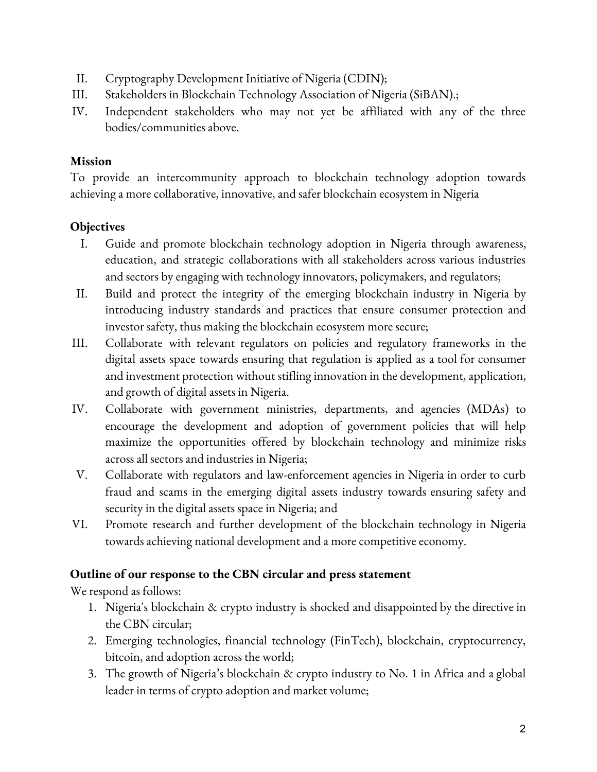- II. Cryptography Development Initiative of Nigeria (CDIN);
- III. Stakeholders in Blockchain Technology Association of Nigeria (SiBAN).;
- IV. Independent stakeholders who may not yet be affiliated with any of the three bodies/communities above.

#### **Mission**

To provide an intercommunity approach to blockchain technology adoption towards achieving a more collaborative, innovative, and safer blockchain ecosystem in Nigeria

## **Objectives**

- I. Guide and promote blockchain technology adoption in Nigeria through awareness, education, and strategic collaborations with all stakeholders across various industries and sectors by engaging with technology innovators, policymakers, and regulators;
- II. Build and protect the integrity of the emerging blockchain industry in Nigeria by introducing industry standards and practices that ensure consumer protection and investor safety, thus making the blockchain ecosystem more secure;
- III. Collaborate with relevant regulators on policies and regulatory frameworks in the digital assets space towards ensuring that regulation is applied as a tool for consumer and investment protection without stifling innovation in the development, application, and growth of digital assets in Nigeria.
- IV. Collaborate with government ministries, departments, and agencies (MDAs) to encourage the development and adoption of government policies that will help maximize the opportunities offered by blockchain technology and minimize risks across all sectors and industries in Nigeria;
- V. Collaborate with regulators and law-enforcement agencies in Nigeria in order to curb fraud and scams in the emerging digital assets industry towards ensuring safety and security in the digital assets space in Nigeria; and
- VI. Promote research and further development of the blockchain technology in Nigeria towards achieving national development and a more competitive economy.

#### **Outline of our response to the CBN circular and press statement**

We respond as follows:

- 1. Nigeria's blockchain & crypto industry is shocked and disappointed by the directive in the CBN circular;
- 2. Emerging technologies, financial technology (FinTech), blockchain, cryptocurrency, bitcoin, and adoption across the world;
- 3. The growth of Nigeria's blockchain & crypto industry to No. 1 in Africa and a global leader in terms of crypto adoption and market volume;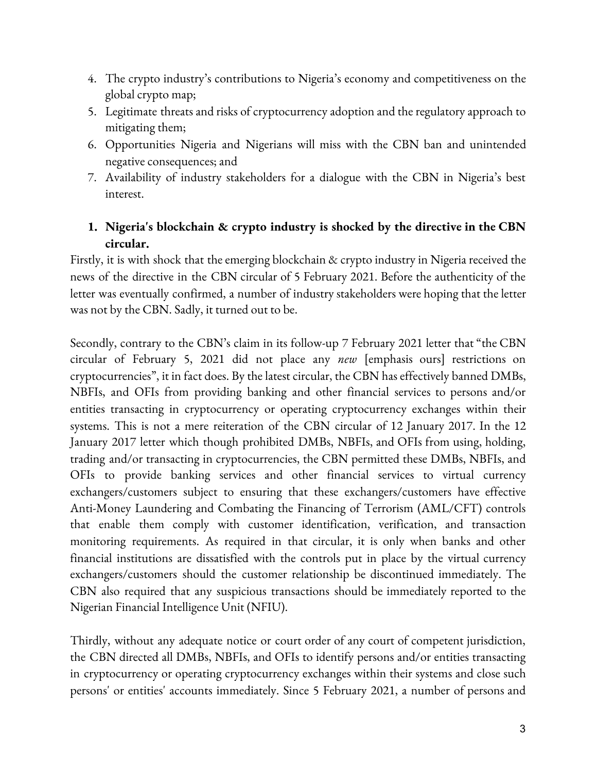- 4. The crypto industry's contributions to Nigeria's economy and competitiveness on the global crypto map;
- 5. Legitimate threats and risks of cryptocurrency adoption and the regulatory approach to mitigating them;
- 6. Opportunities Nigeria and Nigerians will miss with the CBN ban and unintended negative consequences; and
- 7. Availability of industry stakeholders for a dialogue with the CBN in Nigeria's best interest.

## **1. Nigeria's blockchain & crypto industry is shocked by the directive in the CBN circular.**

Firstly, it is with shock that the emerging blockchain & crypto industry in Nigeria received the news of the directive in the CBN circular of 5 February 2021. Before the authenticity of the letter was eventually confirmed, a number of industry stakeholders were hoping that the letter was not by the CBN. Sadly, it turned out to be.

Secondly, contrary to the CBN's claim in its follow-up 7 February 2021 letter that "the CBN circular of February 5, 2021 did not place any *new* [emphasis ours] restrictions on cryptocurrencies", it in fact does. By the latest circular, the CBN has effectively banned DMBs, NBFIs, and OFIs from providing banking and other financial services to persons and/or entities transacting in cryptocurrency or operating cryptocurrency exchanges within their systems. This is not a mere reiteration of the CBN circular of 12 January 2017. In the 12 January 2017 letter which though prohibited DMBs, NBFIs, and OFIs from using, holding, trading and/or transacting in cryptocurrencies, the CBN permitted these DMBs, NBFIs, and OFIs to provide banking services and other financial services to virtual currency exchangers/customers subject to ensuring that these exchangers/customers have effective Anti-Money Laundering and Combating the Financing of Terrorism (AML/CFT) controls that enable them comply with customer identification, verification, and transaction monitoring requirements. As required in that circular, it is only when banks and other financial institutions are dissatisfied with the controls put in place by the virtual currency exchangers/customers should the customer relationship be discontinued immediately. The CBN also required that any suspicious transactions should be immediately reported to the Nigerian Financial Intelligence Unit (NFIU).

Thirdly, without any adequate notice or court order of any court of competent jurisdiction, the CBN directed all DMBs, NBFIs, and OFIs to identify persons and/or entities transacting in cryptocurrency or operating cryptocurrency exchanges within their systems and close such persons' or entities' accounts immediately. Since 5 February 2021, a number of persons and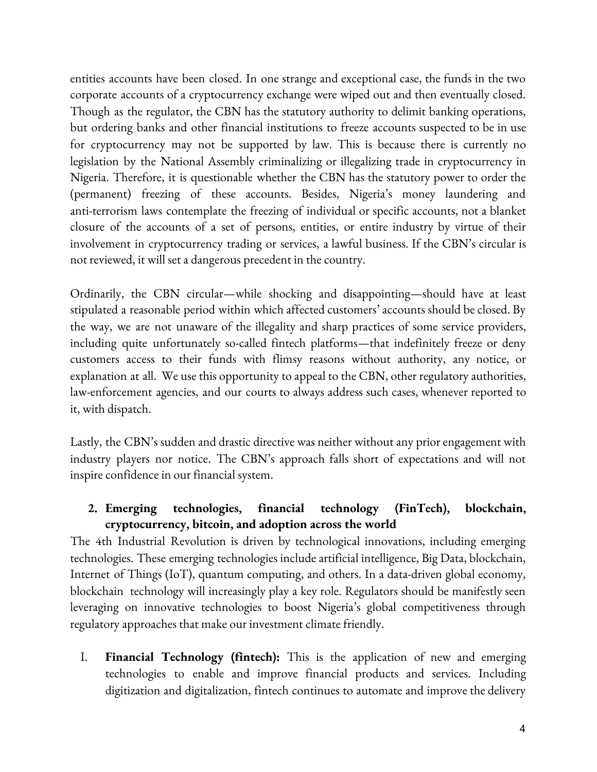entities accounts have been closed. In one strange and exceptional case, the funds in the two corporate accounts of a cryptocurrency exchange were wiped out and then eventually closed. Though as the regulator, the CBN has the statutory authority to delimit banking operations, but ordering banks and other financial institutions to freeze accounts suspected to be in use for cryptocurrency may not be supported by law. This is because there is currently no legislation by the National Assembly criminalizing or illegalizing trade in cryptocurrency in Nigeria. Therefore, it is questionable whether the CBN has the statutory power to order the (permanent) freezing of these accounts. Besides, Nigeria's money laundering and anti-terrorism laws contemplate the freezing of individual or specific accounts, not a blanket closure of the accounts of a set of persons, entities, or entire industry by virtue of their involvement in cryptocurrency trading or services, a lawful business. If the CBN's circular is not reviewed, it will set a dangerous precedent in the country.

Ordinarily, the CBN circular—while shocking and disappointing—should have at least stipulated a reasonable period within which affected customers'accounts should be closed. By the way, we are not unaware of the illegality and sharp practices of some service providers, including quite unfortunately so-called fintech platforms—that indefinitely freeze or deny customers access to their funds with flimsy reasons without authority, any notice, or explanation at all. We use this opportunity to appeal to the CBN, other regulatory authorities, law-enforcement agencies, and our courts to always address such cases, whenever reported to it, with dispatch.

Lastly, the CBN's sudden and drastic directive was neither without any prior engagement with industry players nor notice. The CBN's approach falls short of expectations and will not inspire confidence in our financial system.

## **2. Emerging technologies, financial technology (FinTech), blockchain, cryptocurrency, bitcoin, and adoption across the world**

The 4th Industrial Revolution is driven by technological innovations, including emerging technologies. These emerging technologies include artificial intelligence, Big Data, blockchain, Internet of Things (IoT), quantum computing, and others. In a data-driven global economy, blockchain technology will increasingly play a key role. Regulators should be manifestly seen leveraging on innovative technologies to boost Nigeria's global competitiveness through regulatory approaches that make our investment climate friendly.

I. **Financial Technology (fintech):** This is the application of new and emerging technologies to enable and improve financial products and services. Including digitization and digitalization, fintech continues to automate and improve the delivery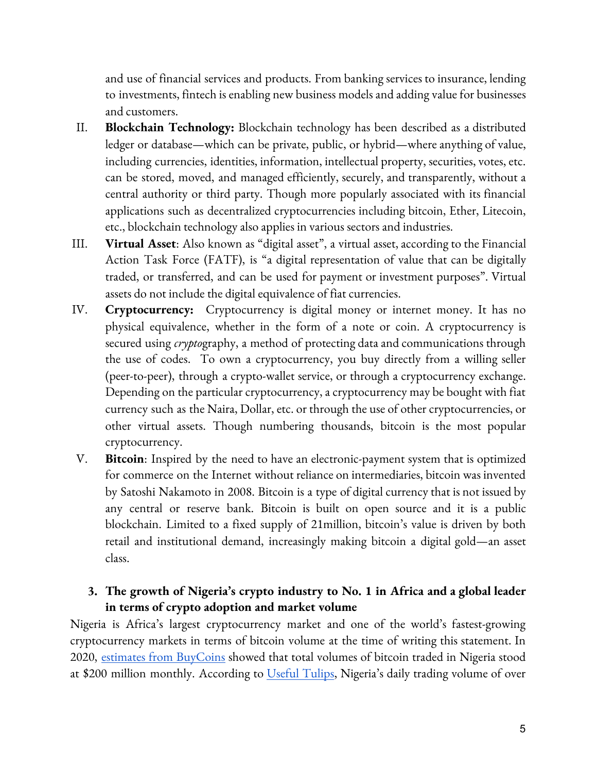and use of financial services and products. From banking services to insurance, lending to investments, fintech is enabling new business modelsand adding value for businesses and customers.

- II. **Blockchain Technology:** Blockchain technology has been described as a distributed ledger or database—which can be private, public, or hybrid—where anything of value, including currencies, identities, information, intellectual property, securities, votes, etc. can be stored, moved, and managed efficiently, securely, and transparently, without a central authority or third party. Though more popularly associated with its financial applications such as decentralized cryptocurrencies including bitcoin, Ether, Litecoin, etc., blockchain technology also applies in various sectors and industries.
- III. Virtual Asset: Also known as "digital asset", a virtual asset, according to the Financial Action Task Force (FATF), is "a digital representation of value that can be digitally traded, or transferred, and can be used for payment or investment purposes". Virtual assets do not include the digital equivalence of fiat currencies.
- IV. **Cryptocurrency:** Cryptocurrency is digital money or internet money. It has no physical equivalence, whether in the form of a note or coin. A cryptocurrency is secured using *crypto*graphy, a method of protecting data and communications through the use of codes. To own a cryptocurrency, you buy directly from a willing seller (peer-to-peer), through a crypto-wallet service, or through a cryptocurrency exchange. Depending on the particular cryptocurrency,a cryptocurrency may be bought with fiat currency such as the Naira, Dollar, etc. or through the use of other cryptocurrencies, or other virtual assets. Though numbering thousands, bitcoin is the most popular cryptocurrency.
- V. **Bitcoin**: Inspired by the need to have an electronic-payment system that is optimized for commerce on the Internet without reliance on intermediaries, bitcoin was invented by Satoshi Nakamoto in 2008. Bitcoin is a type of digital currency that is not issued by any central or reserve bank. Bitcoin is built on open source and it is a public blockchain. Limited to a fixed supply of 21million, bitcoin's value is driven by both retail and institutional demand, increasingly making bitcoin a digital gold—an asset class.

#### **3. The growth of Nigeria's crypto industry to No. 1 in Africa and a global leader in terms of crypto adoption and market volume**

Nigeria is Africa's largest cryptocurrency market and one of the world's fastest-growing cryptocurrency markets in terms of bitcoin volume at the time of writing this statement. In 2020, estimates from [BuyCoins](https://www.stearsng.com/article/accelerating-bitcoin-trading-in-nigeria) showed that total volumes of bitcoin traded in Nigeria stood at \$200 million monthly. According to [Useful](https://paxful.com/blog/bitcoin-adoption-nigeria/) Tulips, Nigeria's daily trading volume of over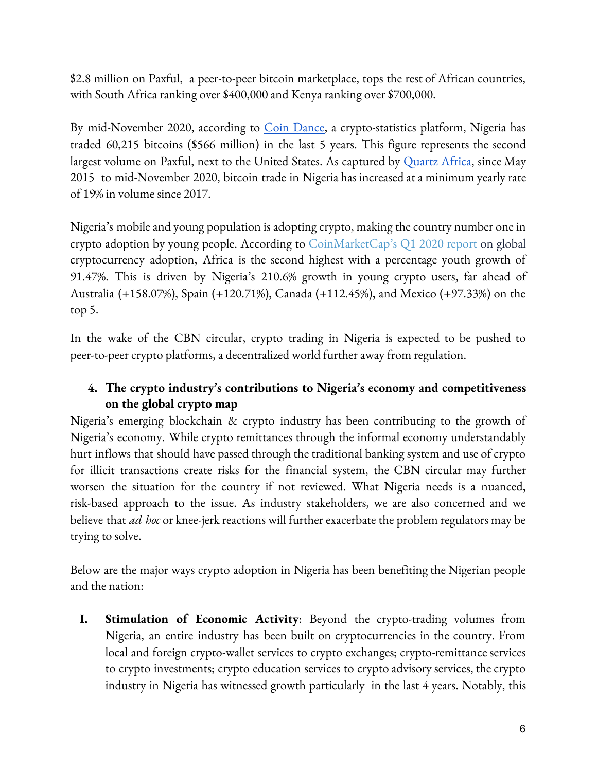\$2.8 million on Paxful, a peer-to-peer bitcoin marketplace, tops the rest of African countries, with South Africa ranking over \$400,000 and Kenya ranking over \$700,000.

By mid-November 2020, according to *Coin Dance*, a crypto-statistics platform, Nigeria has traded 60,215 bitcoins (\$566 million) in the last 5 years. This figure represents the second largest volume on Paxful, next to the United States. As captured by [Quartz](https://qz.com/africa/1947769/nigeria-is-the-second-largest-bitcoin-market-after-the-us/) Africa, since May 2015 to mid-November 2020, bitcoin trade in Nigeria has increased at a minimum yearly rate of 19% in volume since 2017.

Nigeria's mobile and young population is adopting crypto, making the country number one in crypto adoption by young people. According to [CoinMarketCap's](https://blog.coinmarketcap.com/2020/05/01/crypto-market-trends-user-trends-according-to-coinmarketcap-q1-2020-edition/) Q1 2020 report on global cryptocurrency adoption, Africa is the second highest with a percentage youth growth of 91.47%. This is driven by Nigeria's 210.6% growth in young crypto users, far ahead of Australia (+158.07%), Spain (+120.71%), Canada (+112.45%), and Mexico (+97.33%) on the top 5.

In the wake of the CBN circular, crypto trading in Nigeria is expected to be pushed to peer-to-peer crypto platforms, a decentralized world further away from regulation.

## **4. The crypto industry's contributions to Nigeria's economy and competitiveness on the global crypto map**

Nigeria's emerging blockchain & crypto industry has been contributing to the growth of Nigeria's economy. While crypto remittances through the informal economy understandably hurt inflows that should have passed through the traditional banking system and use of crypto for illicit transactions create risks for the financial system, the CBN circular may further worsen the situation for the country if not reviewed. What Nigeria needs is a nuanced, risk-based approach to the issue. As industry stakeholders, we are also concerned and we believe that *ad hoc* or knee-jerk reactions will further exacerbate the problem regulators may be trying to solve.

Below are the major ways crypto adoption in Nigeria has been benefiting the Nigerian people and the nation:

**I. Stimulation of Economic Activity**: Beyond the crypto-trading volumes from Nigeria, an entire industry has been built on cryptocurrencies in the country. From local and foreign crypto-wallet services to crypto exchanges; crypto-remittance services to crypto investments; crypto education services to crypto advisory services, the crypto industry in Nigeria has witnessed growth particularly in the last 4 years. Notably, this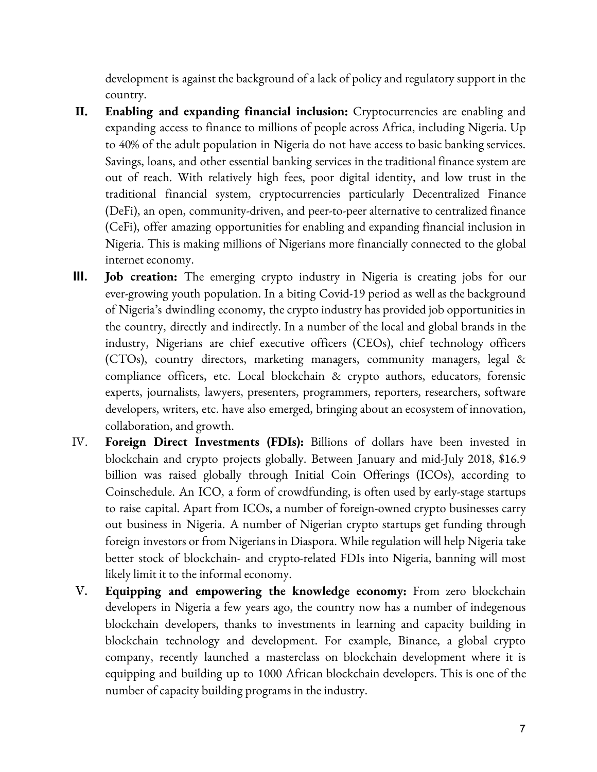development is against the background of a lack of policy and regulatory support in the country.

- **II. Enabling and expanding financial inclusion:** Cryptocurrencies are enabling and expanding access to finance to millions of people across Africa, including Nigeria. Up to 40% of the adult population in Nigeria do not have access to basic banking services. Savings, loans, and other essential banking services in the traditional finance system are out of reach. With relatively high fees, poor digital identity, and low trust in the traditional financial system, cryptocurrencies particularly Decentralized Finance (DeFi), an open, community-driven, and peer-to-peer alternative to centralized finance (CeFi), offer amazing opportunities for enabling and expanding financial inclusion in Nigeria. This is making millions of Nigerians more financially connected to the global internet economy.
- **III. Job creation:** The emerging crypto industry in Nigeria is creating jobs for our ever-growing youth population. In a biting Covid-19 period as well as the background of Nigeria's dwindling economy, the crypto industry has provided job opportunities in the country, directly and indirectly. In a number of the local and global brands in the industry, Nigerians are chief executive officers (CEOs), chief technology officers (CTOs), country directors, marketing managers, community managers, legal & compliance officers, etc. Local blockchain & crypto authors, educators, forensic experts, journalists, lawyers, presenters, programmers, reporters, researchers, software developers, writers, etc. have also emerged, bringing aboutan ecosystem of innovation, collaboration, and growth.
- IV. **Foreign Direct Investments (FDIs):** Billions of dollars have been invested in blockchain and crypto projects globally. Between January and mid-July 2018, \$16.9 billion was raised globally through Initial Coin Offerings (ICOs), according to Coinschedule. An ICO, a form of crowdfunding, is often used by early-stage startups to raise capital. Apart from ICOs, a number of foreign-owned crypto businesses carry out business in Nigeria. A number of Nigerian crypto startups get funding through foreign investors or from Nigerians in Diaspora. While regulation will help Nigeria take better stock of blockchain- and crypto-related FDIs into Nigeria, banning will most likely limit it to the informal economy.
- V. **Equipping and empowering the knowledge economy:** From zero blockchain developers in Nigeria a few years ago, the country now has a number of indegenous blockchain developers, thanks to investments in learning and capacity building in blockchain technology and development. For example, Binance, a global crypto company, recently launched a masterclass on blockchain development where it is equipping and building up to 1000 African blockchain developers. This is one of the number of capacity building programs in the industry.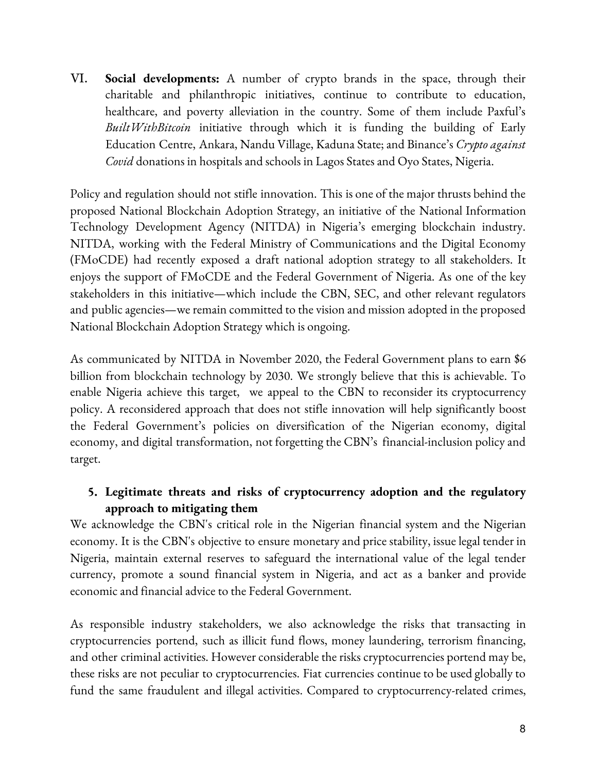VI. **Social developments:** A number of crypto brands in the space, through their charitable and philanthropic initiatives, continue to contribute to education, healthcare, and poverty alleviation in the country. Some of them include Paxful's *BuiltWithBitcoin* initiative through which it is funding the building of Early Education Centre, Ankara, Nandu Village, Kaduna State;and Binance's *Crypto against Covid* donations in hospitals and schools in Lagos States and Oyo States, Nigeria.

Policy and regulation should not stifle innovation. This is one of the major thrusts behind the proposed National Blockchain Adoption Strategy, an initiative of the National Information Technology Development Agency (NITDA) in Nigeria's emerging blockchain industry. NITDA, working with the Federal Ministry of Communications and the Digital Economy (FMoCDE) had recently exposed a draft national adoption strategy to all stakeholders. It enjoys the support of FMoCDE and the Federal Government of Nigeria. As one of the key stakeholders in this initiative—which include the CBN, SEC, and other relevant regulators and public agencies—we remain committed to the vision and mission adopted in the proposed National Blockchain Adoption Strategy which is ongoing.

As communicated by NITDA in November 2020, the Federal Government plans to earn \$6 billion from blockchain technology by 2030. We strongly believe that this is achievable. To enable Nigeria achieve this target, we appeal to the CBN to reconsider its cryptocurrency policy. A reconsidered approach that does not stifle innovation will help significantly boost the Federal Government's policies on diversification of the Nigerian economy, digital economy, and digital transformation, not forgetting the CBN's financial-inclusion policy and target.

# **5. Legitimate threats and risks of cryptocurrency adoption and the regulatory approach to mitigating them**

We acknowledge the CBN's critical role in the Nigerian financial system and the Nigerian economy. It is the CBN's objective to ensure monetary and price stability, issue legal tender in Nigeria, maintain external reserves to safeguard the international value of the legal tender currency, promote a sound financial system in Nigeria, and act as a banker and provide economic and financial advice to the Federal Government.

As responsible industry stakeholders, we also acknowledge the risks that transacting in cryptocurrencies portend, such as illicit fund flows, money laundering, terrorism financing, and other criminal activities. However considerable the risks cryptocurrencies portend may be, these risks are not peculiar to cryptocurrencies. Fiat currencies continue to be used globally to fund the same fraudulent and illegal activities. Compared to cryptocurrency-related crimes,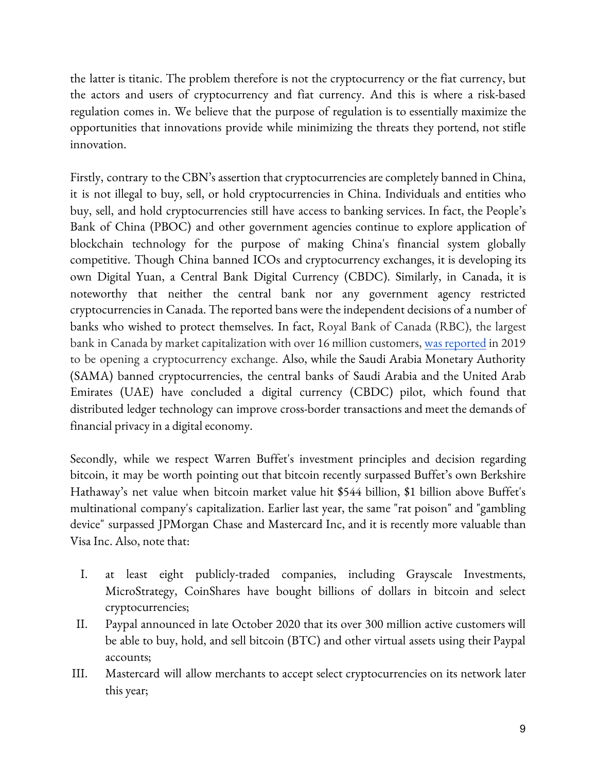the latter is titanic. The problem therefore is not the cryptocurrency or the fiat currency, but the actors and users of cryptocurrency and fiat currency. And this is where a risk-based regulation comes in. We believe that the purpose of regulation is to essentially maximize the opportunities that innovations provide while minimizing the threats they portend, not stifle innovation.

Firstly, contrary to the CBN's assertion that cryptocurrencies are completely banned in China, it is not illegal to buy, sell, or hold cryptocurrencies in China. Individuals and entities who buy, sell, and hold cryptocurrencies still have access to banking services. In fact, the People's Bank of China (PBOC) and other government agencies continue to explore application of blockchain technology for the purpose of making China's financial system globally competitive. Though China banned ICOs and cryptocurrency exchanges, it is developing its own Digital Yuan, a Central Bank Digital Currency (CBDC). Similarly, in Canada, it is noteworthy that neither the central bank nor any government agency restricted cryptocurrencies in Canada. The reported bans were the independent decisions of a number of banks who wished to protect themselves. In fact, Royal Bank of Canada (RBC), the largest bank in Canada by market capitalization with over 16 million customers, was [reported](https://news.bitcoin.com/royal-bank-of-canada-patents-point-to-crypto-exchange-launch/) in 2019 to be opening a cryptocurrency exchange. Also, while the Saudi Arabia Monetary Authority (SAMA) banned cryptocurrencies, the central banks of Saudi Arabia and the United Arab Emirates (UAE) have concluded a digital currency (CBDC) pilot, which found that distributed ledger technology can improve cross-border transactions and meet the demands of financial privacy in a digital economy.

Secondly, while we respect Warren Buffet's investment principles and decision regarding bitcoin, it may be worth pointing out that bitcoin recently surpassed Buffet's own Berkshire Hathaway's net value when bitcoin market value hit \$544 billion, \$1 billion above Buffet's multinational company's capitalization. Earlier last year, the same "rat poison" and "gambling device" surpassed JPMorgan Chase and Mastercard Inc, and it is recently more valuable than Visa Inc. Also, note that:

- I. at least eight publicly-traded companies, including Grayscale Investments, MicroStrategy, CoinShares have bought billions of dollars in bitcoin and select cryptocurrencies;
- II. Paypal announced in late October 2020 that its over 300 million active customers will be able to buy, hold, and sell bitcoin (BTC) and other virtual assets using their Paypal accounts;
- III. Mastercard will allow merchants to accept select cryptocurrencies on its network later this year;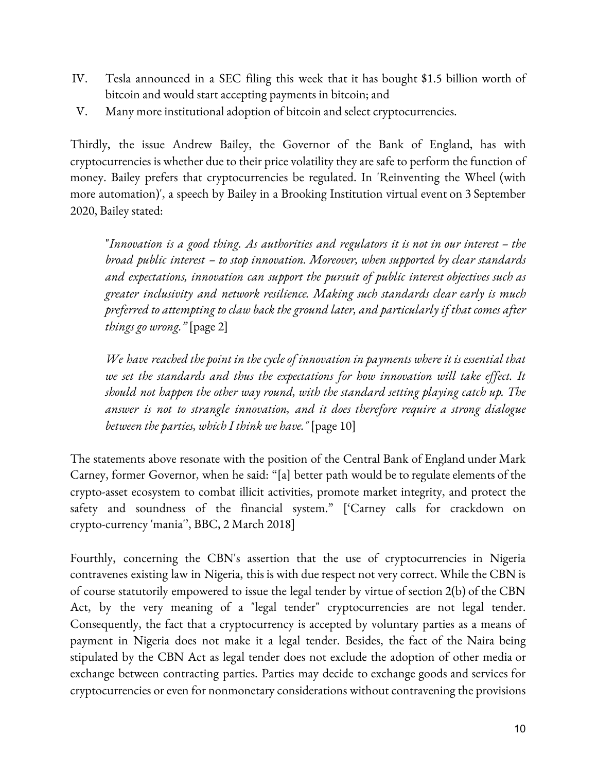- IV. Tesla announced in a SEC filing this week that it has bought \$1.5 billion worth of bitcoin and would start accepting payments in bitcoin; and
- V. Many more institutional adoption of bitcoin and select cryptocurrencies.

Thirdly, the issue Andrew Bailey, the Governor of the Bank of England, has with cryptocurrencies is whether due to their price volatility they are safe to perform the function of money. Bailey prefers that cryptocurrencies be regulated. In 'Reinventing the Wheel (with more automation)', a speech by Bailey in a Brooking Institution virtual event on 3 September 2020, Bailey stated:

"*Innovation is a good thing. As authorities and regulators it is not in our interest – the broad public interest – to stop innovation. Moreover, when supported by clear standards and expectations, innovation can support the pursuit of public interest objectives such as greater inclusivity and network resilience. Making such standards clear early is much preferred to attempting to claw back the ground later, and particularly if that comes after things go wrong."* [page 2]

*We have reached the point in the cycle of innovation in payments where it is essential that we set the standards and thus the expectations for how innovation will take ef ect. It should not happen the other way round, with the standard setting playing catch up. The answer is not to strangle innovation, and it does therefore require a strong dialogue between the parties, which I think we have."* [page 10]

The statements above resonate with the position of the Central Bank of England under Mark Carney, former Governor, when he said: "[a] better path would be to regulate elements of the crypto-asset ecosystem to combat illicit activities, promote market integrity, and protect the safety and soundness of the financial system." ['Carney calls for crackdown on crypto-currency 'mania'', BBC, 2 March 2018]

Fourthly, concerning the CBN's assertion that the use of cryptocurrencies in Nigeria contravenes existing law in Nigeria, this is with due respect not very correct. While the CBN is of course statutorily empowered to issue the legal tender by virtue of section 2(b) of the CBN Act, by the very meaning of a "legal tender" cryptocurrencies are not legal tender. Consequently, the fact that a cryptocurrency is accepted by voluntary parties as a means of payment in Nigeria does not make it a legal tender. Besides, the fact of the Naira being stipulated by the CBN Act as legal tender does not exclude the adoption of other media or exchange between contracting parties. Parties may decide to exchange goods and services for cryptocurrencies or even for nonmonetary considerations without contravening the provisions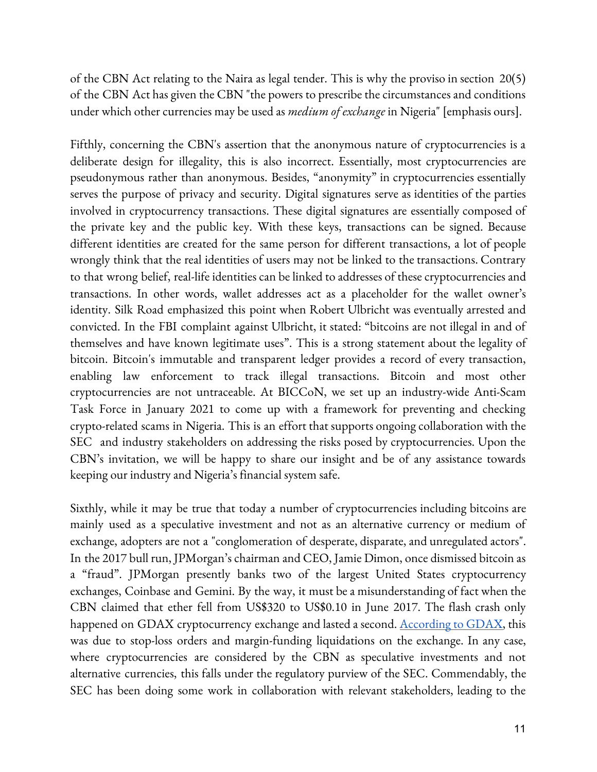of the CBN Act relating to the Naira as legal tender. This is why the proviso in section 20(5) of the CBN Act has given the CBN "the powers to prescribe the circumstances and conditions under which other currencies may be used as *medium of exchange* in Nigeria" [emphasis ours].

Fifthly, concerning the CBN's assertion that the anonymous nature of cryptocurrencies is a deliberate design for illegality, this is also incorrect. Essentially, most cryptocurrencies are pseudonymous rather than anonymous. Besides, "anonymity" in cryptocurrencies essentially serves the purpose of privacy and security. Digital signatures serve as identities of the parties involved in cryptocurrency transactions. These digital signatures are essentially composed of the private key and the public key. With these keys, transactions can be signed. Because different identities are created for the same person for different transactions, a lot of people wrongly think that the real identities of users may not be linked to the transactions. Contrary to that wrong belief, real-life identities can be linked to addresses of these cryptocurrencies and transactions. In other words, wallet addresses act as a placeholder for the wallet owner's identity. Silk Road emphasized this point when Robert Ulbricht was eventually arrested and convicted. In the FBI complaint against Ulbricht, it stated: "bitcoins are not illegal in and of themselves and have known legitimate uses". This is a strong statement about the legality of bitcoin. Bitcoin's immutable and transparent ledger provides a record of every transaction, enabling law enforcement to track illegal transactions. Bitcoin and most other cryptocurrencies are not untraceable. At BICCoN, we set up an industry-wide Anti-Scam Task Force in January 2021 to come up with a framework for preventing and checking crypto-related scams in Nigeria. This is an effort that supports ongoing collaboration with the SEC and industry stakeholders on addressing the risks posed by cryptocurrencies. Upon the CBN's invitation, we will be happy to share our insight and be of any assistance towards keeping our industry and Nigeria's financial system safe.

Sixthly, while it may be true that today a number of cryptocurrencies including bitcoins are mainly used as a speculative investment and not as an alternative currency or medium of exchange, adopters are not a "conglomeration of desperate, disparate, and unregulated actors". In the 2017 bull run, JPMorgan's chairman and CEO, Jamie Dimon, once dismissed bitcoin as a "fraud". JPMorgan presently banks two of the largest United States cryptocurrency exchanges, Coinbase and Gemini. By the way, it must be a misunderstanding of fact when the CBN claimed that ether fell from US\$320 to US\$0.10 in June 2017. The flash crash only happened on GDAX cryptocurrency exchange and lasted a second. <u>[According](https://www.cnbc.com/2017/06/22/ethereum-price-crash-10-cents-gdax-exchange-after-multimillion-dollar-trade.html) to GDAX</u>, this was due to stop-loss orders and margin-funding liquidations on the exchange. In any case, where cryptocurrencies are considered by the CBN as speculative investments and not alternative currencies, this falls under the regulatory purview of the SEC. Commendably, the SEC has been doing some work in collaboration with relevant stakeholders, leading to the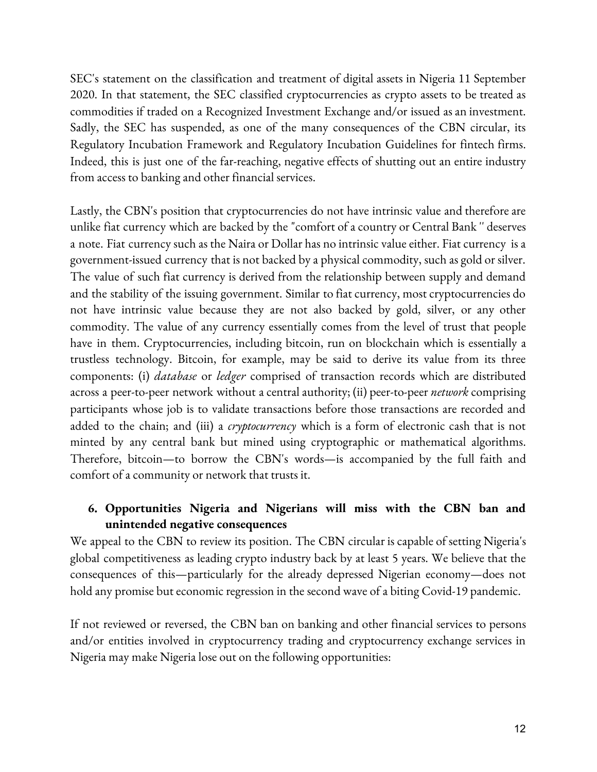SEC's statement on the classification and treatment of digital assets in Nigeria 11 September 2020. In that statement, the SEC classified cryptocurrencies as crypto assets to be treated as commodities if traded on a Recognized Investment Exchange and/or issued as an investment. Sadly, the SEC has suspended, as one of the many consequences of the CBN circular, its Regulatory Incubation Framework and Regulatory Incubation Guidelines for fintech firms. Indeed, this is just one of the far-reaching, negative effects of shutting out an entire industry from access to banking and other financial services.

Lastly, the CBN's position that cryptocurrencies do not have intrinsic value and therefore are unlike fiat currency which are backed by the "comfort of a country or Central Bank " deserves a note. Fiat currency such as the Naira or Dollar has no intrinsic value either. Fiat currency isa government-issued currency that is not backed by a physical commodity, such as gold or silver. The value of such fiat currency is derived from the relationship between supply and demand and the stability of the issuing government. Similar to fiat currency, most cryptocurrencies do not have intrinsic value because they are not also backed by gold, silver, or any other commodity. The value of any currency essentially comes from the level of trust that people have in them. Cryptocurrencies, including bitcoin, run on blockchain which is essentially a trustless technology. Bitcoin, for example, may be said to derive its value from its three components: (i) *database* or *ledger* comprised of transaction records which are distributed across a peer-to-peer network without a central authority; (ii) peer-to-peer *network* comprising participants whose job is to validate transactions before those transactions are recorded and added to the chain; and (iii) a *cryptocurrency* which is a form of electronic cash that is not minted by any central bank but mined using cryptographic or mathematical algorithms. Therefore, bitcoin—to borrow the CBN's words—is accompanied by the full faith and comfort of a community or network that trusts it.

#### **6. Opportunities Nigeria and Nigerians will miss with the CBN ban and unintended negative consequences**

We appeal to the CBN to review its position. The CBN circular is capable of setting Nigeria's global competitiveness as leading crypto industry back by at least 5 years. We believe that the consequences of this—particularly for the already depressed Nigerian economy—does not hold any promise but economic regression in the second wave of a biting Covid-19 pandemic.

If not reviewed or reversed, the CBN ban on banking and other financial services to persons and/or entities involved in cryptocurrency trading and cryptocurrency exchange services in Nigeria may make Nigeria lose out on the following opportunities: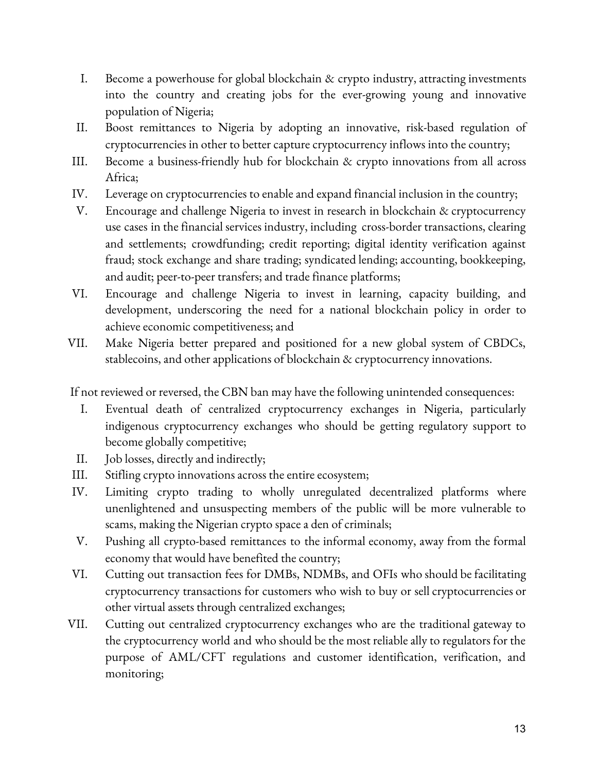- I. Become a powerhouse for global blockchain & crypto industry, attracting investments into the country and creating jobs for the ever-growing young and innovative population of Nigeria;
- II. Boost remittances to Nigeria by adopting an innovative, risk-based regulation of cryptocurrencies in other to better capture cryptocurrency inflows into the country;
- III. Become a business-friendly hub for blockchain & crypto innovations from all across Africa;
- IV. Leverage on cryptocurrencies to enable and expand financial inclusion in the country;
- V. Encourage and challenge Nigeria to invest in research in blockchain & cryptocurrency use cases in the financial services industry, including cross-border transactions, clearing and settlements; crowdfunding; credit reporting; digital identity verification against fraud; stock exchange and share trading; syndicated lending; accounting, bookkeeping, and audit; peer-to-peer transfers; and trade finance platforms;
- VI. Encourage and challenge Nigeria to invest in learning, capacity building, and development, underscoring the need for a national blockchain policy in order to achieve economic competitiveness; and
- VII. Make Nigeria better prepared and positioned for a new global system of CBDCs, stablecoins, and other applications of blockchain & cryptocurrency innovations.

If not reviewed or reversed, the CBN ban may have the following unintended consequences:

- I. Eventual death of centralized cryptocurrency exchanges in Nigeria, particularly indigenous cryptocurrency exchanges who should be getting regulatory support to become globally competitive;
- II. Job losses, directly and indirectly;
- III. Stifling crypto innovations across the entire ecosystem;
- IV. Limiting crypto trading to wholly unregulated decentralized platforms where unenlightened and unsuspecting members of the public will be more vulnerable to scams, making the Nigerian crypto space a den of criminals;
- V. Pushing all crypto-based remittances to the informal economy, away from the formal economy that would have benefited the country;
- VI. Cutting out transaction fees for DMBs, NDMBs, and OFIs who should be facilitating cryptocurrency transactions for customers who wish to buy or sell cryptocurrencies or other virtual assets through centralized exchanges;
- VII. Cutting out centralized cryptocurrency exchanges who are the traditional gateway to the cryptocurrency world and who should be the most reliableally to regulators for the purpose of AML/CFT regulations and customer identification, verification, and monitoring;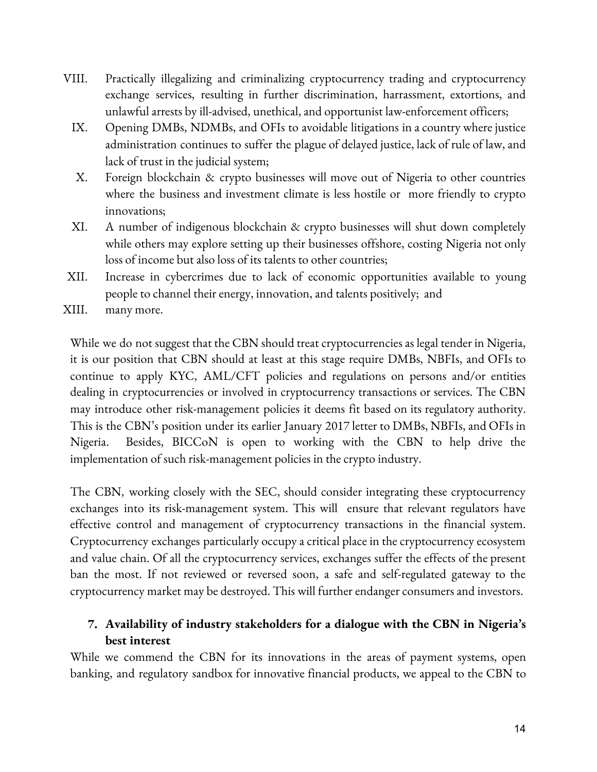- VIII. Practically illegalizing and criminalizing cryptocurrency trading and cryptocurrency exchange services, resulting in further discrimination, harrassment, extortions, and unlawful arrests by ill-advised, unethical, and opportunist law-enforcement officers;
	- IX. Opening DMBs, NDMBs, and OFIs to avoidable litigations in a country where justice administration continues to suffer the plague of delayed justice, lack of rule of law, and lack of trust in the judicial system;
	- X. Foreign blockchain & crypto businesses will move out of Nigeria to other countries where the business and investment climate is less hostile or more friendly to crypto innovations;
	- XI. A number of indigenous blockchain & crypto businesses will shut down completely while others may explore setting up their businesses offshore, costing Nigeria not only loss of income but also loss of its talents to other countries;
- XII. Increase in cybercrimes due to lack of economic opportunities available to young people to channel their energy, innovation, and talents positively; and
- XIII. many more.

While we do not suggest that the CBN should treat cryptocurrencies as legal tender in Nigeria, it is our position that CBN should at least at this stage require DMBs, NBFIs, and OFIs to continue to apply KYC, AML/CFT policies and regulations on persons and/or entities dealing in cryptocurrencies or involved in cryptocurrency transactions or services. The CBN may introduce other risk-management policies it deems fit based on its regulatory authority. This is the CBN's position under its earlier January 2017 letter to DMBs, NBFIs, and OFIs in Nigeria. Besides, BICCoN is open to working with the CBN to help drive the implementation of such risk-management policies in the crypto industry.

The CBN, working closely with the SEC, should consider integrating these cryptocurrency exchanges into its risk-management system. This will ensure that relevant regulators have effective control and management of cryptocurrency transactions in the financial system. Cryptocurrency exchanges particularly occupy a critical place in the cryptocurrency ecosystem and value chain. Of all the cryptocurrency services, exchanges suffer the effects of the present ban the most. If not reviewed or reversed soon, a safe and self-regulated gateway to the cryptocurrency market may be destroyed. This will further endanger consumers and investors.

# **7. Availability of industry stakeholders for a dialogue with the CBN in Nigeria's best interest**

While we commend the CBN for its innovations in the areas of payment systems, open banking, and regulatory sandbox for innovative financial products, we appeal to the CBN to